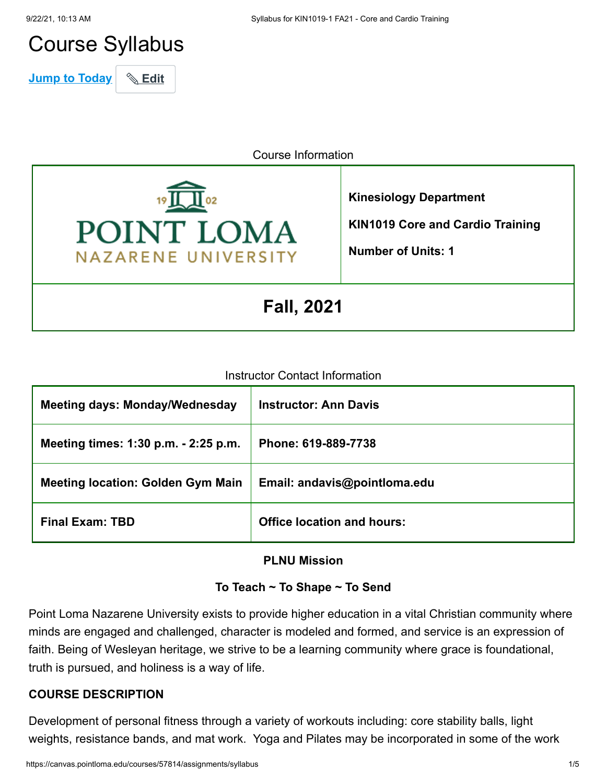# Course Syllabus

**Jump to Today** \& Edit

Course Information



**Kinesiology Department KIN1019 Core and Cardio Training**

**Number of Units: 1**

**Fall, 2021**

#### Instructor Contact Information

| <b>Meeting days: Monday/Wednesday</b>    | <b>Instructor: Ann Davis</b>      |
|------------------------------------------|-----------------------------------|
| Meeting times: 1:30 p.m. - 2:25 p.m.     | Phone: 619-889-7738               |
| <b>Meeting location: Golden Gym Main</b> | Email: andavis@pointloma.edu      |
| <b>Final Exam: TBD</b>                   | <b>Office location and hours:</b> |

#### **PLNU Mission**

## **To Teach ~ To Shape ~ To Send**

Point Loma Nazarene University exists to provide higher education in a vital Christian community where minds are engaged and challenged, character is modeled and formed, and service is an expression of faith. Being of Wesleyan heritage, we strive to be a learning community where grace is foundational, truth is pursued, and holiness is a way of life.

#### **COURSE DESCRIPTION**

Development of personal fitness through a variety of workouts including: core stability balls, light weights, resistance bands, and mat work. Yoga and Pilates may be incorporated in some of the work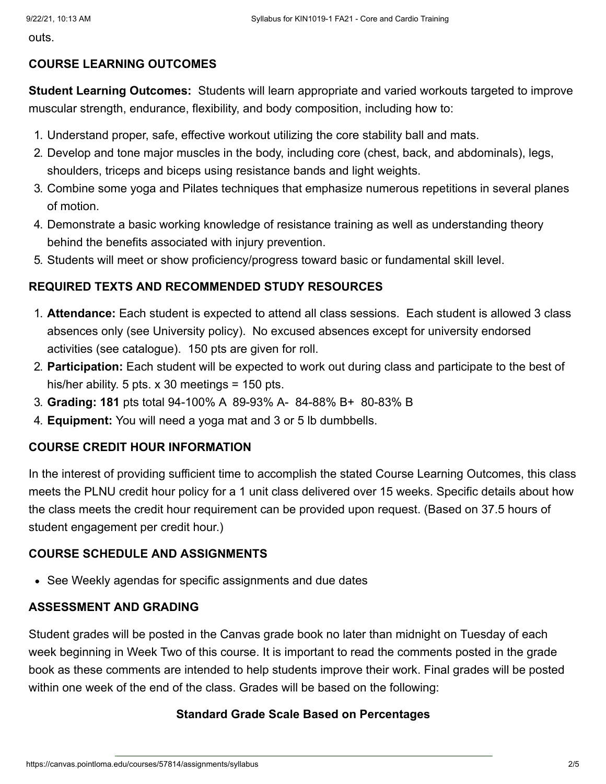outs.

## **COURSE LEARNING OUTCOMES**

**Student Learning Outcomes:** Students will learn appropriate and varied workouts targeted to improve muscular strength, endurance, flexibility, and body composition, including how to:

- 1. Understand proper, safe, effective workout utilizing the core stability ball and mats.
- 2. Develop and tone major muscles in the body, including core (chest, back, and abdominals), legs, shoulders, triceps and biceps using resistance bands and light weights.
- 3. Combine some yoga and Pilates techniques that emphasize numerous repetitions in several planes of motion.
- 4. Demonstrate a basic working knowledge of resistance training as well as understanding theory behind the benefits associated with injury prevention.
- 5. Students will meet or show proficiency/progress toward basic or fundamental skill level.

## **REQUIRED TEXTS AND RECOMMENDED STUDY RESOURCES**

- 1. **Attendance:** Each student is expected to attend all class sessions. Each student is allowed 3 class absences only (see University policy). No excused absences except for university endorsed activities (see catalogue). 150 pts are given for roll.
- 2. **Participation:** Each student will be expected to work out during class and participate to the best of his/her ability. 5 pts. x 30 meetings = 150 pts.
- 3. **Grading: 181** pts total 94-100% A 89-93% A- 84-88% B+ 80-83% B
- 4. **Equipment:** You will need a yoga mat and 3 or 5 lb dumbbells.

## **COURSE CREDIT HOUR INFORMATION**

In the interest of providing sufficient time to accomplish the stated Course Learning Outcomes, this class meets the PLNU credit hour policy for a 1 unit class delivered over 15 weeks. Specific details about how the class meets the credit hour requirement can be provided upon request. (Based on 37.5 hours of student engagement per credit hour.)

## **COURSE SCHEDULE AND ASSIGNMENTS**

• See Weekly agendas for specific assignments and due dates

## **ASSESSMENT AND GRADING**

Student grades will be posted in the Canvas grade book no later than midnight on Tuesday of each week beginning in Week Two of this course. It is important to read the comments posted in the grade book as these comments are intended to help students improve their work. Final grades will be posted within one week of the end of the class. Grades will be based on the following:

## **Standard Grade Scale Based on Percentages**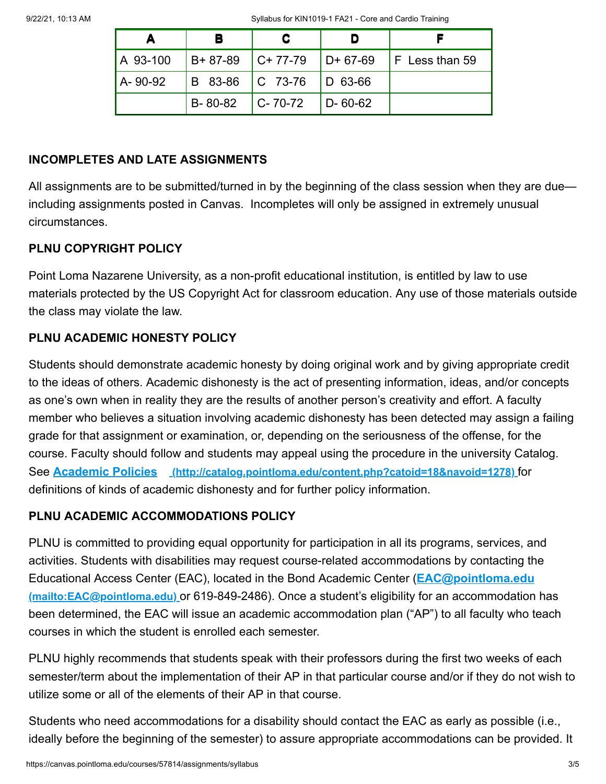| А        |                     |                         |               |                                                |
|----------|---------------------|-------------------------|---------------|------------------------------------------------|
| A 93-100 |                     |                         |               | $ B+87-89 $ C+77-79 $ D+67-69 $ F Less than 59 |
| A-90-92  |                     | B 83-86 C 73-76 D 63-66 |               |                                                |
|          | $B-80-82$ $C-70-72$ |                         | $D - 60 - 62$ |                                                |

## **INCOMPLETES AND LATE ASSIGNMENTS**

All assignments are to be submitted/turned in by the beginning of the class session when they are due including assignments posted in Canvas. Incompletes will only be assigned in extremely unusual circumstances.

## **PLNU COPYRIGHT POLICY**

Point Loma Nazarene University, as a non-profit educational institution, is entitled by law to use materials protected by the US Copyright Act for classroom education. Any use of those materials outside the class may violate the law.

## **PLNU ACADEMIC HONESTY POLICY**

Students should demonstrate academic honesty by doing original work and by giving appropriate credit to the ideas of others. Academic dishonesty is the act of presenting information, ideas, and/or concepts as one's own when in reality they are the results of another person's creativity and effort. A faculty member who believes a situation involving academic dishonesty has been detected may assign a failing grade for that assignment or examination, or, depending on the seriousness of the offense, for the course. Faculty should follow and students may appeal using the procedure in the university Catalog. See **Academic Policies [\(http://catalog.pointloma.edu/content.php?catoid=18&navoid=1278\)](http://catalog.pointloma.edu/content.php?catoid=18&navoid=1278)** for definitions of kinds of academic dishonesty and for further policy information.

## **PLNU ACADEMIC ACCOMMODATIONS POLICY**

PLNU is committed to providing equal opportunity for participation in all its programs, services, and activities. Students with disabilities may request course-related accommodations by contacting the [Educational Access Center \(EAC\), located in the Bond Academic Center \(](mailto:EAC@pointloma.edu)**EAC@pointloma.edu (mailto:EAC@pointloma.edu)** or 619-849-2486). Once a student's eligibility for an accommodation has been determined, the EAC will issue an academic accommodation plan ("AP") to all faculty who teach courses in which the student is enrolled each semester.

PLNU highly recommends that students speak with their professors during the first two weeks of each semester/term about the implementation of their AP in that particular course and/or if they do not wish to utilize some or all of the elements of their AP in that course.

Students who need accommodations for a disability should contact the EAC as early as possible (i.e., ideally before the beginning of the semester) to assure appropriate accommodations can be provided. It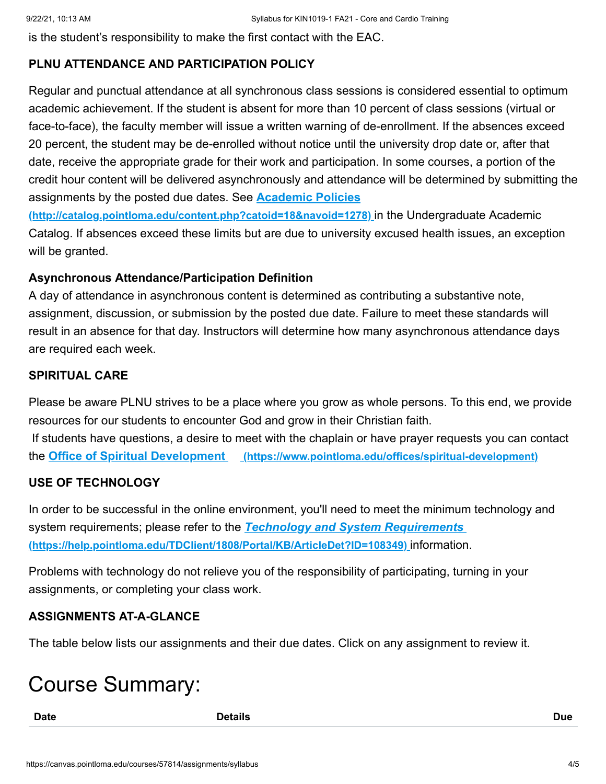is the student's responsibility to make the first contact with the EAC.

## **PLNU ATTENDANCE AND PARTICIPATION POLICY**

Regular and punctual attendance at all synchronous class sessions is considered essential to optimum academic achievement. If the student is absent for more than 10 percent of class sessions (virtual or face-to-face), the faculty member will issue a written warning of de-enrollment. If the absences exceed 20 percent, the student may be de-enrolled without notice until the university drop date or, after that date, receive the appropriate grade for their work and participation. In some courses, a portion of the credit hour content will be delivered asynchronously and attendance will be determined by submitting the assignments by the posted due dates. See **Academic Policies**

**[\(http://catalog.pointloma.edu/content.php?catoid=18&navoid=1278\)](http://catalog.pointloma.edu/content.php?catoid=18&navoid=1278)** in the Undergraduate Academic Catalog. If absences exceed these limits but are due to university excused health issues, an exception will be granted.

#### **Asynchronous Attendance/Participation Definition**

A day of attendance in asynchronous content is determined as contributing a substantive note, assignment, discussion, or submission by the posted due date. Failure to meet these standards will result in an absence for that day. Instructors will determine how many asynchronous attendance days are required each week.

#### **SPIRITUAL CARE**

Please be aware PLNU strives to be a place where you grow as whole persons. To this end, we provide resources for our students to encounter God and grow in their Christian faith. If students have questions, a desire to meet with the chaplain or have prayer requests you can contact the **Office of Spiritual Development [\(https://www.pointloma.edu/offices/spiritual-development\)](https://www.pointloma.edu/offices/spiritual-development)**

#### **USE OF TECHNOLOGY**

In order to be successful in the online environment, you'll need to meet the minimum technology and system requirements; please refer to the *Technology and System Requirements*  **[\(https://help.pointloma.edu/TDClient/1808/Portal/KB/ArticleDet?ID=108349\)](https://help.pointloma.edu/TDClient/1808/Portal/KB/ArticleDet?ID=108349)** information.

Problems with technology do not relieve you of the responsibility of participating, turning in your assignments, or completing your class work.

## **ASSIGNMENTS AT-A-GLANCE**

The table below lists our assignments and their due dates. Click on any assignment to review it.

## Course Summary:

**Date Details Due**